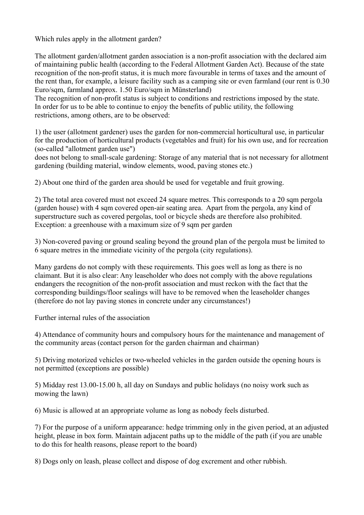Which rules apply in the allotment garden?

The allotment garden/allotment garden association is a non-profit association with the declared aim of maintaining public health (according to the Federal Allotment Garden Act). Because of the state recognition of the non-profit status, it is much more favourable in terms of taxes and the amount of the rent than, for example, a leisure facility such as a camping site or even farmland (our rent is 0.30 Euro/sqm, farmland approx. 1.50 Euro/sqm in Münsterland)

The recognition of non-profit status is subject to conditions and restrictions imposed by the state. In order for us to be able to continue to enjoy the benefits of public utility, the following restrictions, among others, are to be observed:

1) the user (allotment gardener) uses the garden for non-commercial horticultural use, in particular for the production of horticultural products (vegetables and fruit) for his own use, and for recreation (so-called "allotment garden use")

does not belong to small-scale gardening: Storage of any material that is not necessary for allotment gardening (building material, window elements, wood, paving stones etc.)

2) About one third of the garden area should be used for vegetable and fruit growing.

2) The total area covered must not exceed 24 square metres. This corresponds to a 20 sqm pergola (garden house) with 4 sqm covered open-air seating area. Apart from the pergola, any kind of superstructure such as covered pergolas, tool or bicycle sheds are therefore also prohibited. Exception: a greenhouse with a maximum size of 9 sqm per garden

3) Non-covered paving or ground sealing beyond the ground plan of the pergola must be limited to 6 square metres in the immediate vicinity of the pergola (city regulations).

Many gardens do not comply with these requirements. This goes well as long as there is no claimant. But it is also clear: Any leaseholder who does not comply with the above regulations endangers the recognition of the non-profit association and must reckon with the fact that the corresponding buildings/floor sealings will have to be removed when the leaseholder changes (therefore do not lay paving stones in concrete under any circumstances!)

Further internal rules of the association

4) Attendance of community hours and compulsory hours for the maintenance and management of the community areas (contact person for the garden chairman and chairman)

5) Driving motorized vehicles or two-wheeled vehicles in the garden outside the opening hours is not permitted (exceptions are possible)

5) Midday rest 13.00-15.00 h, all day on Sundays and public holidays (no noisy work such as mowing the lawn)

6) Music is allowed at an appropriate volume as long as nobody feels disturbed.

7) For the purpose of a uniform appearance: hedge trimming only in the given period, at an adjusted height, please in box form. Maintain adjacent paths up to the middle of the path (if you are unable to do this for health reasons, please report to the board)

8) Dogs only on leash, please collect and dispose of dog excrement and other rubbish.